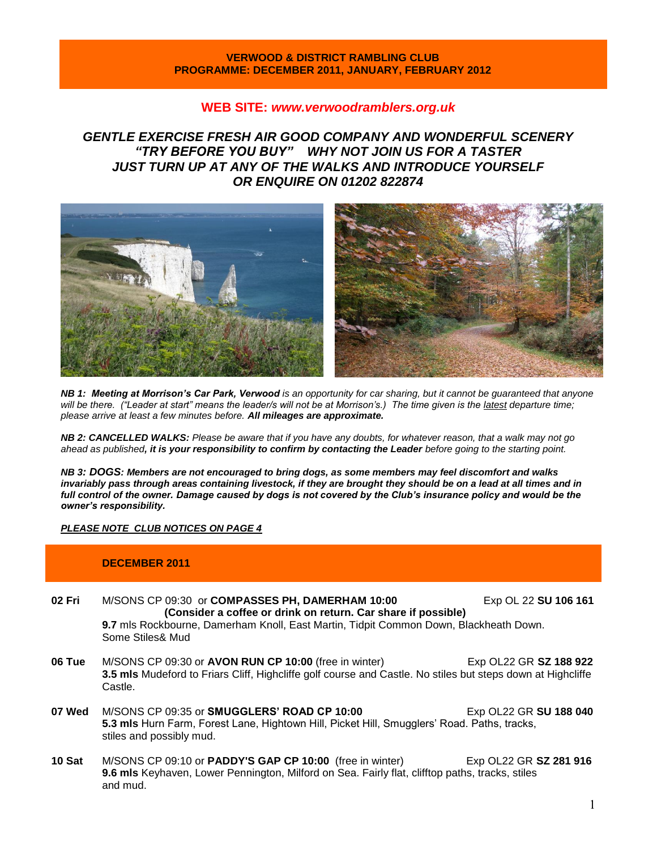### **VERWOOD & DISTRICT RAMBLING CLUB PROGRAMME: DECEMBER 2011, JANUARY, FEBRUARY 2012**

## **WEB SITE:** *[www.verwoodramblers.org.uk](http://www.verwoodramblers.org.uk/)*

# *GENTLE EXERCISE FRESH AIR GOOD COMPANY AND WONDERFUL SCENERY "TRY BEFORE YOU BUY" WHY NOT JOIN US FOR A TASTER JUST TURN UP AT ANY OF THE WALKS AND INTRODUCE YOURSELF OR ENQUIRE ON 01202 822874*



*NB 1: Meeting at Morrison's Car Park, Verwood is an opportunity for car sharing, but it cannot be guaranteed that anyone*  will be there. ("Leader at start" means the leader/s will not be at Morrison's.) The time given is the latest departure time; *please arrive at least a few minutes before. All mileages are approximate.*

*NB 2: CANCELLED WALKS: Please be aware that if you have any doubts, for whatever reason, that a walk may not go ahead as published, it is your responsibility to confirm by contacting the Leader before going to the starting point.*

*NB 3: DOGS: Members are not encouraged to bring dogs, as some members may feel discomfort and walks*  invariably pass through areas containing livestock, if they are brought they should be on a lead at all times and in *full control of the owner. Damage caused by dogs is not covered by the Club's insurance policy and would be the owner's responsibility.*

### *PLEASE NOTE CLUB NOTICES ON PAGE 4*

## **DECEMBER 2011**

| 02 Fri | M/SONS CP 09:30 or COMPASSES PH, DAMERHAM 10:00                                              | Exp OL 22 SU 106 161 |  |
|--------|----------------------------------------------------------------------------------------------|----------------------|--|
|        | (Consider a coffee or drink on return. Car share if possible)                                |                      |  |
|        | <b>9.7</b> mls Rockbourne, Damerham Knoll, East Martin, Tidpit Common Down, Blackheath Down. |                      |  |
|        | Some Stiles& Mud                                                                             |                      |  |

- **06 Tue** M/SONS CP 09:30 or **AVON RUN CP 10:00** (free in winter) Exp OL22 GR **SZ 188 922 3.5 mls** Mudeford to Friars Cliff, Highcliffe golf course and Castle. No stiles but steps down at Highcliffe Castle.
- **07 Wed** M/SONS CP 09:35 or **SMUGGLERS' ROAD CP 10:00** Exp OL22 GR **SU 188 040 5.3 mls** Hurn Farm, Forest Lane, Hightown Hill, Picket Hill, Smugglers' Road. Paths, tracks, stiles and possibly mud.
- **10 Sat** M/SONS CP 09:10 or **PADDY'S GAP CP 10:00** (free in winter) Exp OL22 GR **SZ 281 916 9.6 mls** Keyhaven, Lower Pennington, Milford on Sea. Fairly flat, clifftop paths, tracks, stiles and mud.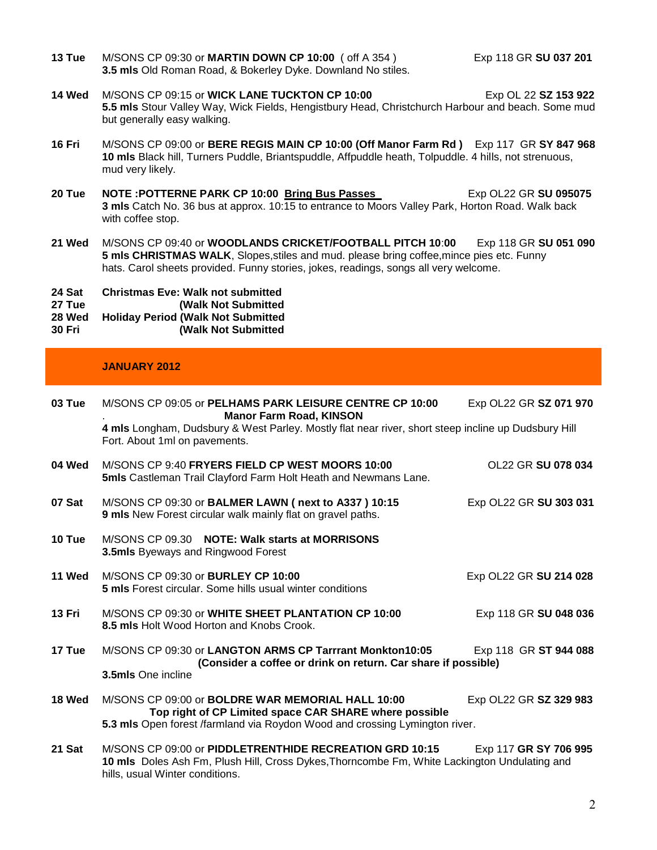**13 Tue** M/SONS CP 09:30 or **MARTIN DOWN CP 10:00** ( off A 354 ) Exp 118 GR **SU 037 201 3.5 mls** Old Roman Road, & Bokerley Dyke. Downland No stiles.

- **14 Wed** M/SONS CP 09:15 or **WICK LANE TUCKTON CP 10:00** Exp OL 22 SZ 153 922 **5.5 mls** Stour Valley Way, Wick Fields, Hengistbury Head, Christchurch Harbour and beach. Some mud but generally easy walking.
- **16 Fri** M/SONS CP 09:00 or **BERE REGIS MAIN CP 10:00 (Off Manor Farm Rd )** Exp 117 GR **SY 847 968 10 mls** Black hill, Turners Puddle, Briantspuddle, Affpuddle heath, Tolpuddle. 4 hills, not strenuous, mud very likely.
- **20 Tue NOTE :POTTERNE PARK CP 10:00 <b>Bring Bus Passes** Exp OL22 GR SU 095075 **3 mls** Catch No. 36 bus at approx. 10:15 to entrance to Moors Valley Park, Horton Road. Walk back with coffee stop.
- **21 Wed** M/SONS CP 09:40 or **WOODLANDS CRICKET/FOOTBALL PITCH 10**:**00** Exp 118 GR **SU 051 090 5 mls CHRISTMAS WALK**, Slopes,stiles and mud. please bring coffee,mince pies etc. Funny hats. Carol sheets provided. Funny stories, jokes, readings, songs all very welcome.

**24 Sat Christmas Eve: Walk not submitted** 

**27 Tue (Walk Not Submitted**

**28 Wed Holiday Period (Walk Not Submitted 30 Fri (Walk Not Submitted**

# **JANUARY 2012**

| 03 Tue | M/SONS CP 09:05 or PELHAMS PARK LEISURE CENTRE CP 10:00<br><b>Manor Farm Road, KINSON</b>                                                                                                  | Exp OL22 GR SZ 071 970 |
|--------|--------------------------------------------------------------------------------------------------------------------------------------------------------------------------------------------|------------------------|
|        | 4 mls Longham, Dudsbury & West Parley. Mostly flat near river, short steep incline up Dudsbury Hill<br>Fort. About 1ml on pavements.                                                       |                        |
| 04 Wed | M/SONS CP 9:40 FRYERS FIELD CP WEST MOORS 10:00<br><b>5mls</b> Castleman Trail Clayford Farm Holt Heath and Newmans Lane.                                                                  | OL22 GR SU 078 034     |
| 07 Sat | M/SONS CP 09:30 or BALMER LAWN (next to A337 ) 10:15<br>9 mls New Forest circular walk mainly flat on gravel paths.                                                                        | Exp OL22 GR SU 303 031 |
| 10 Tue | M/SONS CP 09.30 NOTE: Walk starts at MORRISONS<br><b>3.5mls</b> Byeways and Ringwood Forest                                                                                                |                        |
| 11 Wed | M/SONS CP 09:30 or BURLEY CP 10:00<br><b>5 mls</b> Forest circular. Some hills usual winter conditions                                                                                     | Exp OL22 GR SU 214 028 |
| 13 Fri | M/SONS CP 09:30 or WHITE SHEET PLANTATION CP 10:00<br>8.5 mls Holt Wood Horton and Knobs Crook.                                                                                            | Exp 118 GR SU 048 036  |
| 17 Tue | M/SONS CP 09:30 or LANGTON ARMS CP Tarrrant Monkton10:05<br>(Consider a coffee or drink on return. Car share if possible)                                                                  | Exp 118 GR ST 944 088  |
|        | 3.5mls One incline                                                                                                                                                                         |                        |
| 18 Wed | M/SONS CP 09:00 or <b>BOLDRE WAR MEMORIAL HALL 10:00</b><br>Top right of CP Limited space CAR SHARE where possible                                                                         | Exp OL22 GR SZ 329 983 |
|        | 5.3 mls Open forest /farmland via Roydon Wood and crossing Lymington river.                                                                                                                |                        |
| 21 Sat | M/SONS CP 09:00 or PIDDLETRENTHIDE RECREATION GRD 10:15<br>10 mls Doles Ash Fm, Plush Hill, Cross Dykes, Thorncombe Fm, White Lackington Undulating and<br>hills, usual Winter conditions. | Exp 117 GR SY 706 995  |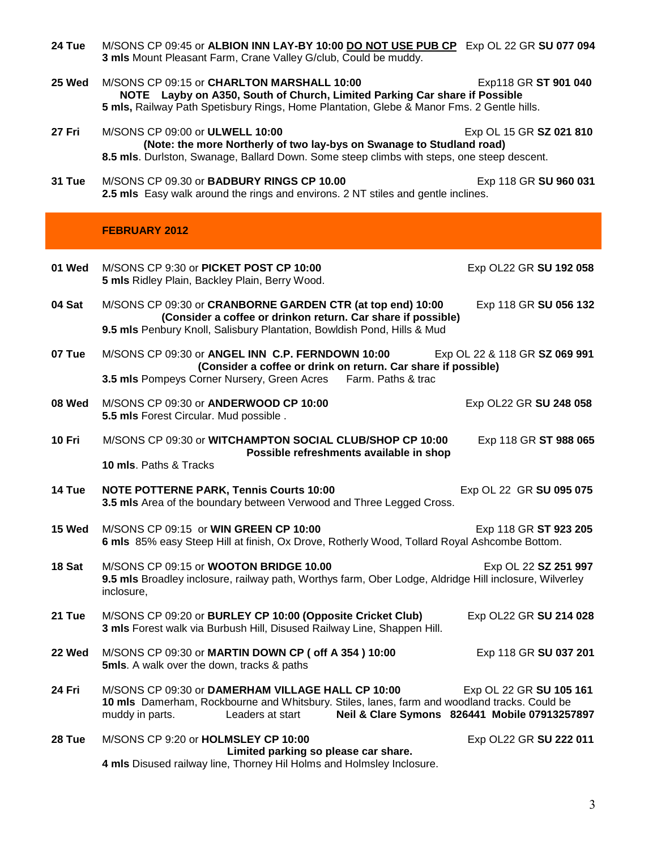| 24 Tue | M/SONS CP 09:45 or ALBION INN LAY-BY 10:00 DO NOT USE PUB CP Exp OL 22 GR SU 077 094<br>3 mls Mount Pleasant Farm, Crane Valley G/club, Could be muddy.                                                                                                              |
|--------|----------------------------------------------------------------------------------------------------------------------------------------------------------------------------------------------------------------------------------------------------------------------|
| 25 Wed | M/SONS CP 09:15 or CHARLTON MARSHALL 10:00<br>Exp118 GR ST 901 040<br>NOTE Layby on A350, South of Church, Limited Parking Car share if Possible<br>5 mls, Railway Path Spetisbury Rings, Home Plantation, Glebe & Manor Fms. 2 Gentle hills.                        |
| 27 Fri | M/SONS CP 09:00 or ULWELL 10:00<br>Exp OL 15 GR SZ 021 810<br>(Note: the more Northerly of two lay-bys on Swanage to Studland road)<br>8.5 mls. Durlston, Swanage, Ballard Down. Some steep climbs with steps, one steep descent.                                    |
| 31 Tue | M/SONS CP 09.30 or BADBURY RINGS CP 10.00<br>Exp 118 GR SU 960 031<br>2.5 mls Easy walk around the rings and environs. 2 NT stiles and gentle inclines.                                                                                                              |
|        | <b>FEBRUARY 2012</b>                                                                                                                                                                                                                                                 |
| 01 Wed | M/SONS CP 9:30 or PICKET POST CP 10:00<br>Exp OL22 GR SU 192 058<br>5 mls Ridley Plain, Backley Plain, Berry Wood.                                                                                                                                                   |
| 04 Sat | M/SONS CP 09:30 or CRANBORNE GARDEN CTR (at top end) 10:00<br>Exp 118 GR SU 056 132<br>(Consider a coffee or drinkon return. Car share if possible)<br>9.5 mls Penbury Knoll, Salisbury Plantation, Bowldish Pond, Hills & Mud                                       |
| 07 Tue | M/SONS CP 09:30 or ANGEL INN C.P. FERNDOWN 10:00<br>Exp OL 22 & 118 GR SZ 069 991<br>(Consider a coffee or drink on return. Car share if possible)<br>3.5 mls Pompeys Corner Nursery, Green Acres Farm. Paths & trac                                                 |
| 08 Wed | M/SONS CP 09:30 or ANDERWOOD CP 10:00<br>Exp OL22 GR SU 248 058<br>5.5 mls Forest Circular. Mud possible.                                                                                                                                                            |
| 10 Fri | M/SONS CP 09:30 or WITCHAMPTON SOCIAL CLUB/SHOP CP 10:00<br>Exp 118 GR ST 988 065<br>Possible refreshments available in shop<br>10 mls. Paths & Tracks                                                                                                               |
| 14 Tue | <b>NOTE POTTERNE PARK, Tennis Courts 10:00</b><br>Exp OL 22 GR SU 095 075<br>3.5 mls Area of the boundary between Verwood and Three Legged Cross.                                                                                                                    |
| 15 Wed | M/SONS CP 09:15 or WIN GREEN CP 10:00<br>Exp 118 GR ST 923 205<br>6 mls 85% easy Steep Hill at finish, Ox Drove, Rotherly Wood, Tollard Royal Ashcombe Bottom.                                                                                                       |
| 18 Sat | M/SONS CP 09:15 or WOOTON BRIDGE 10.00<br>Exp OL 22 SZ 251 997<br>9.5 mls Broadley inclosure, railway path, Worthys farm, Ober Lodge, Aldridge Hill inclosure, Wilverley<br>inclosure,                                                                               |
| 21 Tue | M/SONS CP 09:20 or BURLEY CP 10:00 (Opposite Cricket Club)<br>Exp OL22 GR SU 214 028<br>3 mls Forest walk via Burbush Hill, Disused Railway Line, Shappen Hill.                                                                                                      |
| 22 Wed | M/SONS CP 09:30 or MARTIN DOWN CP ( off A 354 ) 10:00<br>Exp 118 GR SU 037 201<br><b>5mls.</b> A walk over the down, tracks & paths                                                                                                                                  |
| 24 Fri | M/SONS CP 09:30 or DAMERHAM VILLAGE HALL CP 10:00<br>Exp OL 22 GR SU 105 161<br>10 mls Damerham, Rockbourne and Whitsbury. Stiles, lanes, farm and woodland tracks. Could be<br>Neil & Clare Symons 826441 Mobile 07913257897<br>muddy in parts.<br>Leaders at start |
| 28 Tue | M/SONS CP 9:20 or HOLMSLEY CP 10:00<br>Exp OL22 GR SU 222 011<br>Limited parking so please car share.<br>4 mls Disused railway line, Thorney Hil Holms and Holmsley Inclosure.                                                                                       |